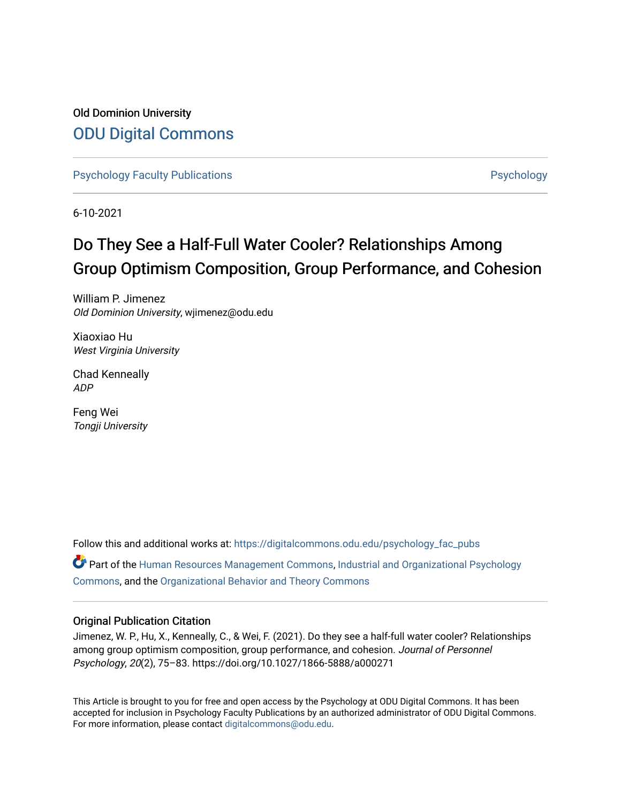## Old Dominion University [ODU Digital Commons](https://digitalcommons.odu.edu/)

[Psychology Faculty Publications](https://digitalcommons.odu.edu/psychology_fac_pubs) **Provides** [Psychology](https://digitalcommons.odu.edu/psychology) **Psychology** 

6-10-2021

# Do They See a Half-Full Water Cooler? Relationships Among Group Optimism Composition, Group Performance, and Cohesion

William P. Jimenez Old Dominion University, wjimenez@odu.edu

Xiaoxiao Hu West Virginia University

Chad Kenneally ADP

Feng Wei Tongji University

Follow this and additional works at: [https://digitalcommons.odu.edu/psychology\\_fac\\_pubs](https://digitalcommons.odu.edu/psychology_fac_pubs?utm_source=digitalcommons.odu.edu%2Fpsychology_fac_pubs%2F115&utm_medium=PDF&utm_campaign=PDFCoverPages)  $\bullet$  Part of the [Human Resources Management Commons,](http://network.bepress.com/hgg/discipline/633?utm_source=digitalcommons.odu.edu%2Fpsychology_fac_pubs%2F115&utm_medium=PDF&utm_campaign=PDFCoverPages) [Industrial and Organizational Psychology](http://network.bepress.com/hgg/discipline/412?utm_source=digitalcommons.odu.edu%2Fpsychology_fac_pubs%2F115&utm_medium=PDF&utm_campaign=PDFCoverPages) [Commons](http://network.bepress.com/hgg/discipline/412?utm_source=digitalcommons.odu.edu%2Fpsychology_fac_pubs%2F115&utm_medium=PDF&utm_campaign=PDFCoverPages), and the [Organizational Behavior and Theory Commons](http://network.bepress.com/hgg/discipline/639?utm_source=digitalcommons.odu.edu%2Fpsychology_fac_pubs%2F115&utm_medium=PDF&utm_campaign=PDFCoverPages) 

#### Original Publication Citation

Jimenez, W. P., Hu, X., Kenneally, C., & Wei, F. (2021). Do they see a half-full water cooler? Relationships among group optimism composition, group performance, and cohesion. Journal of Personnel Psychology, 20(2), 75–83. https://doi.org/10.1027/1866-5888/a000271

This Article is brought to you for free and open access by the Psychology at ODU Digital Commons. It has been accepted for inclusion in Psychology Faculty Publications by an authorized administrator of ODU Digital Commons. For more information, please contact [digitalcommons@odu.edu](mailto:digitalcommons@odu.edu).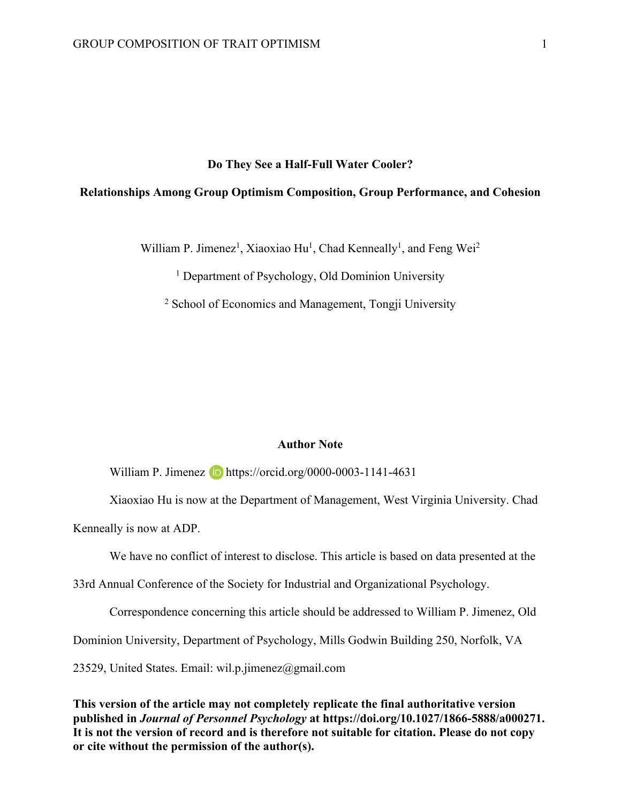#### **Do They See a Half-Full Water Cooler?**

#### **Relationships Among Group Optimism Composition, Group Performance, and Cohesion**

William P. Jimenez<sup>1</sup>, Xiaoxiao Hu<sup>1</sup>, Chad Kenneally<sup>1</sup>, and Feng Wei<sup>2</sup>

<sup>1</sup> Department of Psychology, Old Dominion University

<sup>2</sup> School of Economics and Management, Tongji University

#### **Author Note**

William P. Jimenez **b** https://orcid.org/0000-0003-1141-4631

Xiaoxiao Hu is now at the Department of Management, West Virginia University. Chad Kenneally is now at ADP.

We have no conflict of interest to disclose. This article is based on data presented at the

33rd Annual Conference of the Society for Industrial and Organizational Psychology.

Correspondence concerning this article should be addressed to William P. Jimenez, Old

Dominion University, Department of Psychology, Mills Godwin Building 250, Norfolk, VA

23529, United States. Email: wil.p.jimenez@gmail.com

**This version of the article may not completely replicate the final authoritative version published in** *Journal of Personnel Psychology* **at https://doi.org/10.1027/1866-5888/a000271. It is not the version of record and is therefore not suitable for citation. Please do not copy or cite without the permission of the author(s).**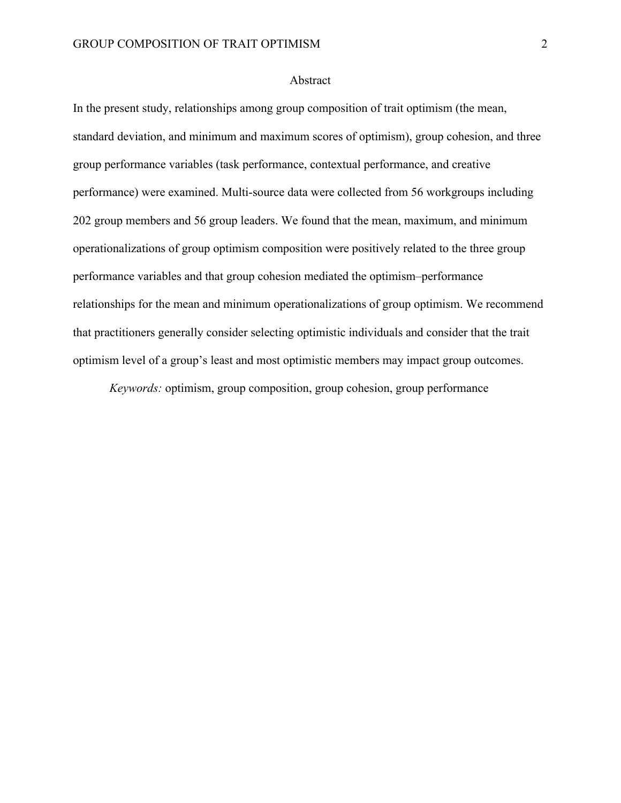#### Abstract

In the present study, relationships among group composition of trait optimism (the mean, standard deviation, and minimum and maximum scores of optimism), group cohesion, and three group performance variables (task performance, contextual performance, and creative performance) were examined. Multi-source data were collected from 56 workgroups including 202 group members and 56 group leaders. We found that the mean, maximum, and minimum operationalizations of group optimism composition were positively related to the three group performance variables and that group cohesion mediated the optimism–performance relationships for the mean and minimum operationalizations of group optimism. We recommend that practitioners generally consider selecting optimistic individuals and consider that the trait optimism level of a group's least and most optimistic members may impact group outcomes.

*Keywords:* optimism, group composition, group cohesion, group performance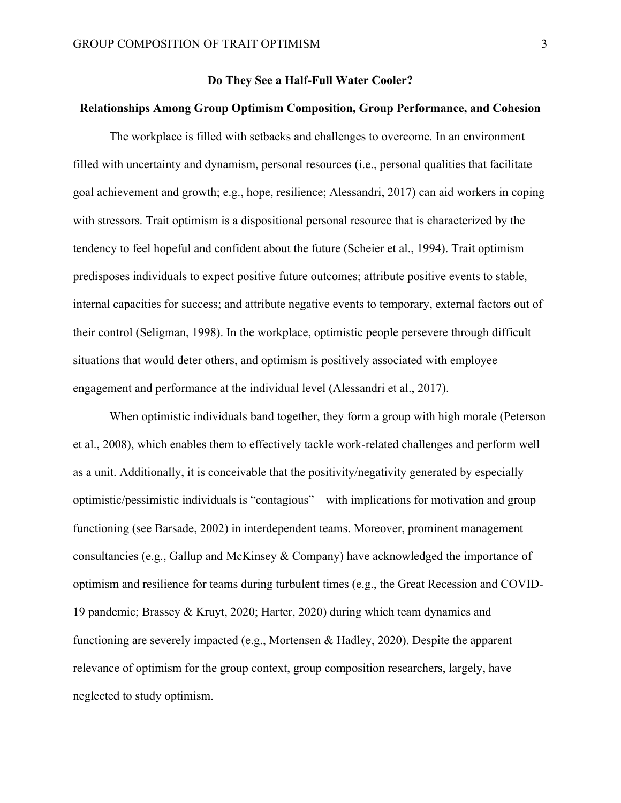#### **Do They See a Half-Full Water Cooler?**

#### **Relationships Among Group Optimism Composition, Group Performance, and Cohesion**

The workplace is filled with setbacks and challenges to overcome. In an environment filled with uncertainty and dynamism, personal resources (i.e., personal qualities that facilitate goal achievement and growth; e.g., hope, resilience; Alessandri, 2017) can aid workers in coping with stressors. Trait optimism is a dispositional personal resource that is characterized by the tendency to feel hopeful and confident about the future (Scheier et al., 1994). Trait optimism predisposes individuals to expect positive future outcomes; attribute positive events to stable, internal capacities for success; and attribute negative events to temporary, external factors out of their control (Seligman, 1998). In the workplace, optimistic people persevere through difficult situations that would deter others, and optimism is positively associated with employee engagement and performance at the individual level (Alessandri et al., 2017).

When optimistic individuals band together, they form a group with high morale (Peterson et al., 2008), which enables them to effectively tackle work-related challenges and perform well as a unit. Additionally, it is conceivable that the positivity/negativity generated by especially optimistic/pessimistic individuals is "contagious"—with implications for motivation and group functioning (see Barsade, 2002) in interdependent teams. Moreover, prominent management consultancies (e.g., Gallup and McKinsey & Company) have acknowledged the importance of optimism and resilience for teams during turbulent times (e.g., the Great Recession and COVID-19 pandemic; Brassey & Kruyt, 2020; Harter, 2020) during which team dynamics and functioning are severely impacted (e.g., Mortensen & Hadley, 2020). Despite the apparent relevance of optimism for the group context, group composition researchers, largely, have neglected to study optimism.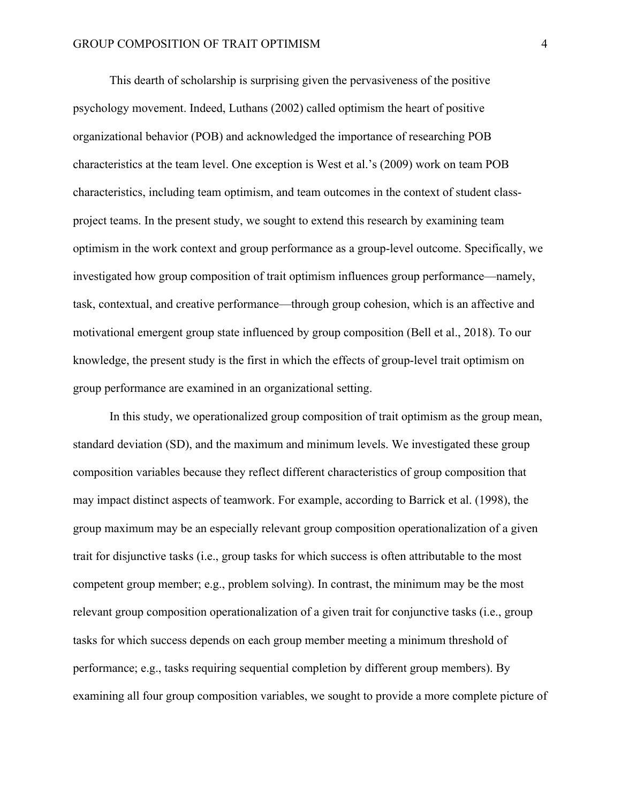This dearth of scholarship is surprising given the pervasiveness of the positive psychology movement. Indeed, Luthans (2002) called optimism the heart of positive organizational behavior (POB) and acknowledged the importance of researching POB characteristics at the team level. One exception is West et al.'s (2009) work on team POB characteristics, including team optimism, and team outcomes in the context of student classproject teams. In the present study, we sought to extend this research by examining team optimism in the work context and group performance as a group-level outcome. Specifically, we investigated how group composition of trait optimism influences group performance—namely, task, contextual, and creative performance—through group cohesion, which is an affective and motivational emergent group state influenced by group composition (Bell et al., 2018). To our knowledge, the present study is the first in which the effects of group-level trait optimism on group performance are examined in an organizational setting.

In this study, we operationalized group composition of trait optimism as the group mean, standard deviation (SD), and the maximum and minimum levels. We investigated these group composition variables because they reflect different characteristics of group composition that may impact distinct aspects of teamwork. For example, according to Barrick et al. (1998), the group maximum may be an especially relevant group composition operationalization of a given trait for disjunctive tasks (i.e., group tasks for which success is often attributable to the most competent group member; e.g., problem solving). In contrast, the minimum may be the most relevant group composition operationalization of a given trait for conjunctive tasks (i.e., group tasks for which success depends on each group member meeting a minimum threshold of performance; e.g., tasks requiring sequential completion by different group members). By examining all four group composition variables, we sought to provide a more complete picture of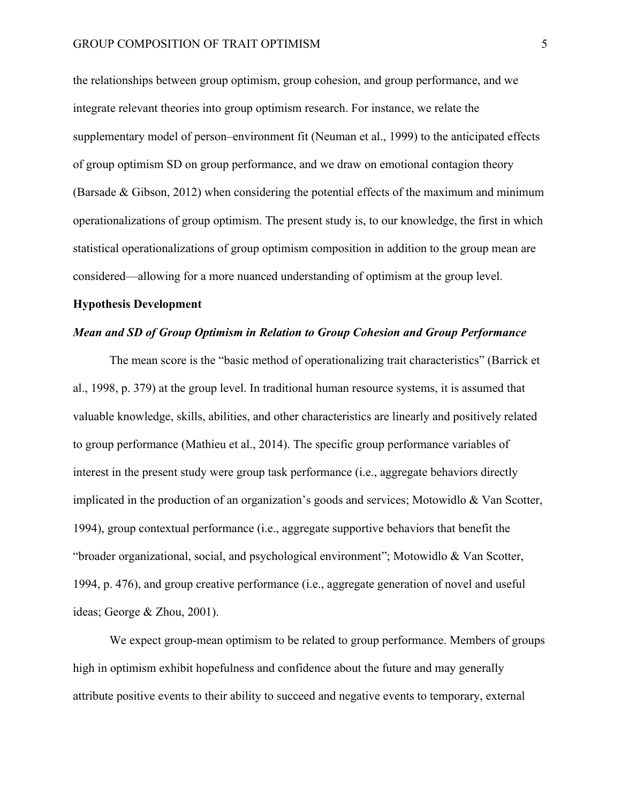the relationships between group optimism, group cohesion, and group performance, and we integrate relevant theories into group optimism research. For instance, we relate the supplementary model of person–environment fit (Neuman et al., 1999) to the anticipated effects of group optimism SD on group performance, and we draw on emotional contagion theory (Barsade & Gibson, 2012) when considering the potential effects of the maximum and minimum operationalizations of group optimism. The present study is, to our knowledge, the first in which statistical operationalizations of group optimism composition in addition to the group mean are considered—allowing for a more nuanced understanding of optimism at the group level.

#### **Hypothesis Development**

#### *Mean and SD of Group Optimism in Relation to Group Cohesion and Group Performance*

The mean score is the "basic method of operationalizing trait characteristics" (Barrick et al., 1998, p. 379) at the group level. In traditional human resource systems, it is assumed that valuable knowledge, skills, abilities, and other characteristics are linearly and positively related to group performance (Mathieu et al., 2014). The specific group performance variables of interest in the present study were group task performance (i.e., aggregate behaviors directly implicated in the production of an organization's goods and services; Motowidlo  $\&$  Van Scotter, 1994), group contextual performance (i.e., aggregate supportive behaviors that benefit the "broader organizational, social, and psychological environment"; Motowidlo & Van Scotter, 1994, p. 476), and group creative performance (i.e., aggregate generation of novel and useful ideas; George & Zhou, 2001).

We expect group-mean optimism to be related to group performance. Members of groups high in optimism exhibit hopefulness and confidence about the future and may generally attribute positive events to their ability to succeed and negative events to temporary, external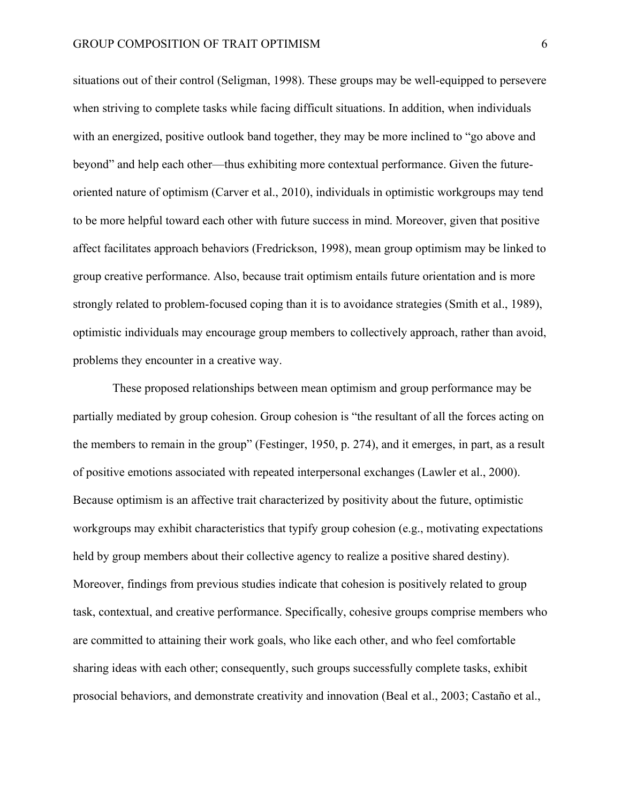situations out of their control (Seligman, 1998). These groups may be well-equipped to persevere when striving to complete tasks while facing difficult situations. In addition, when individuals with an energized, positive outlook band together, they may be more inclined to "go above and beyond" and help each other—thus exhibiting more contextual performance. Given the futureoriented nature of optimism (Carver et al., 2010), individuals in optimistic workgroups may tend to be more helpful toward each other with future success in mind. Moreover, given that positive affect facilitates approach behaviors (Fredrickson, 1998), mean group optimism may be linked to group creative performance. Also, because trait optimism entails future orientation and is more strongly related to problem-focused coping than it is to avoidance strategies (Smith et al., 1989), optimistic individuals may encourage group members to collectively approach, rather than avoid, problems they encounter in a creative way.

These proposed relationships between mean optimism and group performance may be partially mediated by group cohesion. Group cohesion is "the resultant of all the forces acting on the members to remain in the group" (Festinger, 1950, p. 274), and it emerges, in part, as a result of positive emotions associated with repeated interpersonal exchanges (Lawler et al., 2000). Because optimism is an affective trait characterized by positivity about the future, optimistic workgroups may exhibit characteristics that typify group cohesion (e.g., motivating expectations held by group members about their collective agency to realize a positive shared destiny). Moreover, findings from previous studies indicate that cohesion is positively related to group task, contextual, and creative performance. Specifically, cohesive groups comprise members who are committed to attaining their work goals, who like each other, and who feel comfortable sharing ideas with each other; consequently, such groups successfully complete tasks, exhibit prosocial behaviors, and demonstrate creativity and innovation (Beal et al., 2003; Castaño et al.,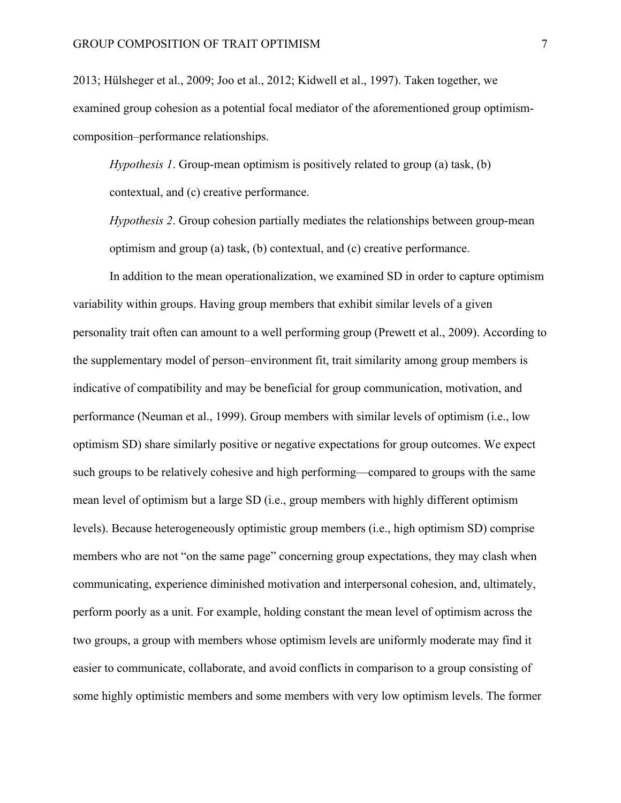2013; Hülsheger et al., 2009; Joo et al., 2012; Kidwell et al., 1997). Taken together, we examined group cohesion as a potential focal mediator of the aforementioned group optimismcomposition–performance relationships.

*Hypothesis 1*. Group-mean optimism is positively related to group (a) task, (b) contextual, and (c) creative performance.

*Hypothesis 2*. Group cohesion partially mediates the relationships between group-mean optimism and group (a) task, (b) contextual, and (c) creative performance.

In addition to the mean operationalization, we examined SD in order to capture optimism variability within groups. Having group members that exhibit similar levels of a given personality trait often can amount to a well performing group (Prewett et al., 2009). According to the supplementary model of person–environment fit, trait similarity among group members is indicative of compatibility and may be beneficial for group communication, motivation, and performance (Neuman et al., 1999). Group members with similar levels of optimism (i.e., low optimism SD) share similarly positive or negative expectations for group outcomes. We expect such groups to be relatively cohesive and high performing—compared to groups with the same mean level of optimism but a large SD (i.e., group members with highly different optimism levels). Because heterogeneously optimistic group members (i.e., high optimism SD) comprise members who are not "on the same page" concerning group expectations, they may clash when communicating, experience diminished motivation and interpersonal cohesion, and, ultimately, perform poorly as a unit. For example, holding constant the mean level of optimism across the two groups, a group with members whose optimism levels are uniformly moderate may find it easier to communicate, collaborate, and avoid conflicts in comparison to a group consisting of some highly optimistic members and some members with very low optimism levels. The former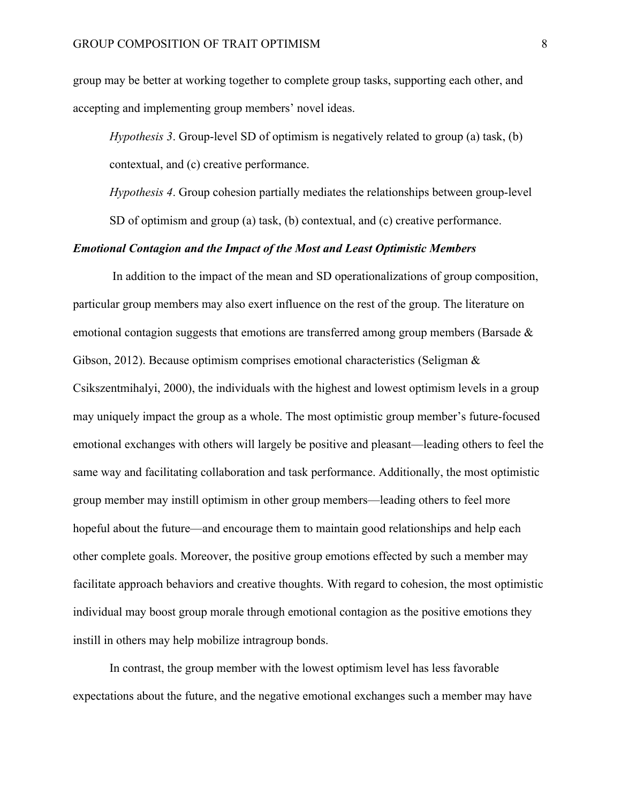group may be better at working together to complete group tasks, supporting each other, and accepting and implementing group members' novel ideas.

*Hypothesis 3*. Group-level SD of optimism is negatively related to group (a) task, (b) contextual, and (c) creative performance.

*Hypothesis 4*. Group cohesion partially mediates the relationships between group-level SD of optimism and group (a) task, (b) contextual, and (c) creative performance.

#### *Emotional Contagion and the Impact of the Most and Least Optimistic Members*

In addition to the impact of the mean and SD operationalizations of group composition, particular group members may also exert influence on the rest of the group. The literature on emotional contagion suggests that emotions are transferred among group members (Barsade & Gibson, 2012). Because optimism comprises emotional characteristics (Seligman  $\&$ Csikszentmihalyi, 2000), the individuals with the highest and lowest optimism levels in a group may uniquely impact the group as a whole. The most optimistic group member's future-focused emotional exchanges with others will largely be positive and pleasant—leading others to feel the same way and facilitating collaboration and task performance. Additionally, the most optimistic group member may instill optimism in other group members—leading others to feel more hopeful about the future—and encourage them to maintain good relationships and help each other complete goals. Moreover, the positive group emotions effected by such a member may facilitate approach behaviors and creative thoughts. With regard to cohesion, the most optimistic individual may boost group morale through emotional contagion as the positive emotions they instill in others may help mobilize intragroup bonds.

In contrast, the group member with the lowest optimism level has less favorable expectations about the future, and the negative emotional exchanges such a member may have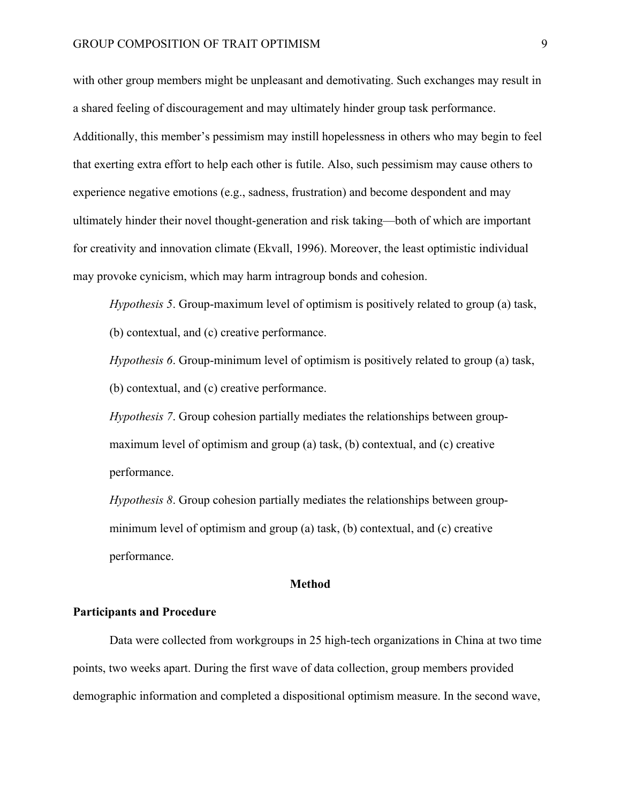with other group members might be unpleasant and demotivating. Such exchanges may result in a shared feeling of discouragement and may ultimately hinder group task performance. Additionally, this member's pessimism may instill hopelessness in others who may begin to feel that exerting extra effort to help each other is futile. Also, such pessimism may cause others to experience negative emotions (e.g., sadness, frustration) and become despondent and may ultimately hinder their novel thought-generation and risk taking—both of which are important for creativity and innovation climate (Ekvall, 1996). Moreover, the least optimistic individual may provoke cynicism, which may harm intragroup bonds and cohesion.

*Hypothesis 5*. Group-maximum level of optimism is positively related to group (a) task, (b) contextual, and (c) creative performance.

*Hypothesis 6*. Group-minimum level of optimism is positively related to group (a) task, (b) contextual, and (c) creative performance.

*Hypothesis 7*. Group cohesion partially mediates the relationships between groupmaximum level of optimism and group (a) task, (b) contextual, and (c) creative performance.

*Hypothesis 8*. Group cohesion partially mediates the relationships between groupminimum level of optimism and group (a) task, (b) contextual, and (c) creative performance.

#### **Method**

#### **Participants and Procedure**

Data were collected from workgroups in 25 high-tech organizations in China at two time points, two weeks apart. During the first wave of data collection, group members provided demographic information and completed a dispositional optimism measure. In the second wave,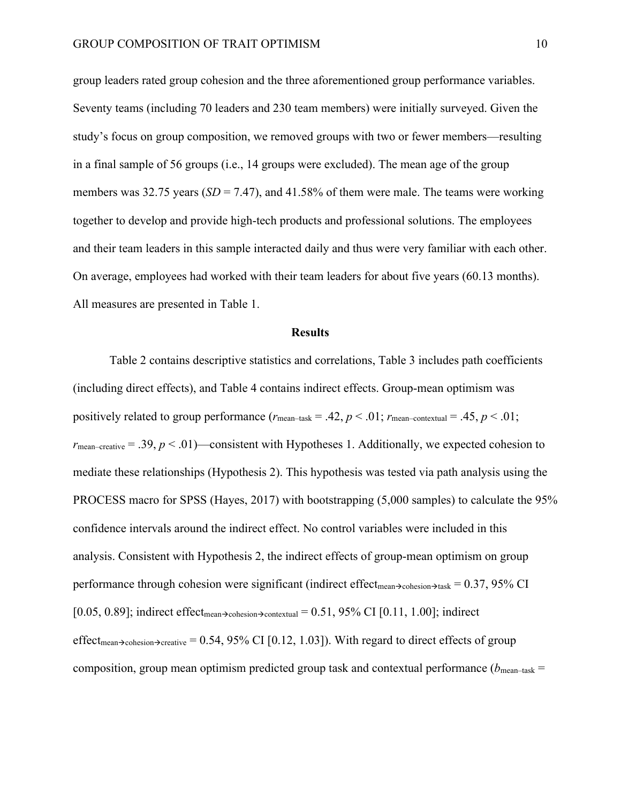group leaders rated group cohesion and the three aforementioned group performance variables. Seventy teams (including 70 leaders and 230 team members) were initially surveyed. Given the study's focus on group composition, we removed groups with two or fewer members—resulting in a final sample of 56 groups (i.e., 14 groups were excluded). The mean age of the group members was 32.75 years (*SD* = 7.47), and 41.58% of them were male. The teams were working together to develop and provide high-tech products and professional solutions. The employees and their team leaders in this sample interacted daily and thus were very familiar with each other. On average, employees had worked with their team leaders for about five years (60.13 months). All measures are presented in Table 1.

#### **Results**

Table 2 contains descriptive statistics and correlations, Table 3 includes path coefficients (including direct effects), and Table 4 contains indirect effects. Group-mean optimism was positively related to group performance  $(r_{\text{mean-task}} = .42, p < .01; r_{\text{mean-control}} = .45, p < .01;$  $r_{\text{mean–createive}} = .39, p < .01)$ —consistent with Hypotheses 1. Additionally, we expected cohesion to mediate these relationships (Hypothesis 2). This hypothesis was tested via path analysis using the PROCESS macro for SPSS (Hayes, 2017) with bootstrapping (5,000 samples) to calculate the 95% confidence intervals around the indirect effect. No control variables were included in this analysis. Consistent with Hypothesis 2, the indirect effects of group-mean optimism on group performance through cohesion were significant (indirect effect<sub>mean</sub> $\rightarrow$ cohesion $\rightarrow$ task = 0.37, 95% CI [0.05, 0.89]; indirect effect<sub>mean</sub> $\rightarrow$ cohesion $\rightarrow$ contextual = 0.51, 95% CI [0.11, 1.00]; indirect effect<sub>mean</sub> $\rightarrow$ cohesion $\rightarrow$ creative = 0.54, 95% CI [0.12, 1.03]). With regard to direct effects of group composition, group mean optimism predicted group task and contextual performance ( $b_{\text{mean–task}}$  =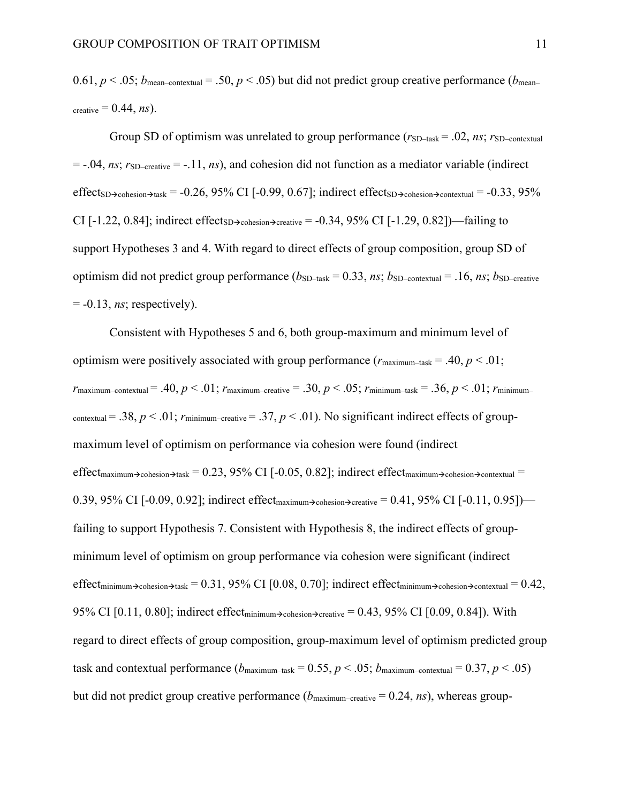0.61,  $p < .05$ ;  $b_{\text{mean}-\text{contextual}} = .50$ ,  $p < .05$ ) but did not predict group creative performance ( $b_{\text{mean}-}$ ) creative  $= 0.44$ , *ns*).

Group SD of optimism was unrelated to group performance  $(r_{SD-task} = .02, ns; r_{SD-contextual})$  $=$  -.04, *ns*;  $r_{SD-creative} = -.11$ , *ns*), and cohesion did not function as a mediator variable (indirect effect<sub>SD</sub> $\rightarrow$ <sub>cohesion</sub> $\rightarrow$ task = -0.26, 95% CI [-0.99, 0.67]; indirect effect<sub>SD</sub> $\rightarrow$ <sub>cohesion</sub> $\rightarrow$ <sub>contextual</sub> = -0.33, 95% CI [-1.22, 0.84]; indirect effect<sub>SD</sub> $\rightarrow$ <sub>cohesion</sub> $\rightarrow$ <sub>creative</sub> = -0.34, 95% CI [-1.29, 0.82])—failing to support Hypotheses 3 and 4. With regard to direct effects of group composition, group SD of optimism did not predict group performance  $(b_{SD-task} = 0.33, ns; b_{SD-contextual} = .16, ns; b_{SD-createive}$  $= -0.13$ , *ns*; respectively).

Consistent with Hypotheses 5 and 6, both group-maximum and minimum level of optimism were positively associated with group performance  $(r_{\text{maximum–task}} = .40, p < .01;$  $r_{\text{maximum–contextual}} = .40, p < .01; r_{\text{maximum--createive}} = .30, p < .05; r_{\text{minimum–task}} = .36, p < .01; r_{\text{minimum--}$ contextual = .38,  $p < 0.01$ ;  $r_{minimum-creative} = 0.37$ ,  $p < 0.01$ ). No significant indirect effects of groupmaximum level of optimism on performance via cohesion were found (indirect  $effect_{\text{maximum}\rightarrow\text{cohesion}\rightarrow\text{task}} = 0.23, 95\% \text{ CI}$  [-0.05, 0.82]; indirect effect<sub>maximum</sub> $\rightarrow$ cohesion $\rightarrow$ contextual = 0.39, 95% CI [-0.09, 0.92]; indirect effect<sub>maximum</sub> $\triangle$ <sub>cohesion</sub> $\triangle$ <sub>creative</sub> = 0.41, 95% CI [-0.11, 0.95]) failing to support Hypothesis 7. Consistent with Hypothesis 8, the indirect effects of groupminimum level of optimism on group performance via cohesion were significant (indirect effect<sub>minimum</sub> $\rightarrow$ cohesion $\rightarrow$ task = 0.31, 95% CI [0.08, 0.70]; indirect effect<sub>minimum</sub> $\rightarrow$ cohesion $\rightarrow$ contextual = 0.42, 95% CI [0.11, 0.80]; indirect effect<sub>minimum</sub> $\rightarrow$ cohesion $\rightarrow$ creative = 0.43, 95% CI [0.09, 0.84]). With regard to direct effects of group composition, group-maximum level of optimism predicted group task and contextual performance  $(b_{\text{maximum}-\text{task}} = 0.55, p < .05; b_{\text{maximum}-\text{contextual}} = 0.37, p < .05)$ but did not predict group creative performance  $(b_{\text{maximum-creative}} = 0.24, ns)$ , whereas group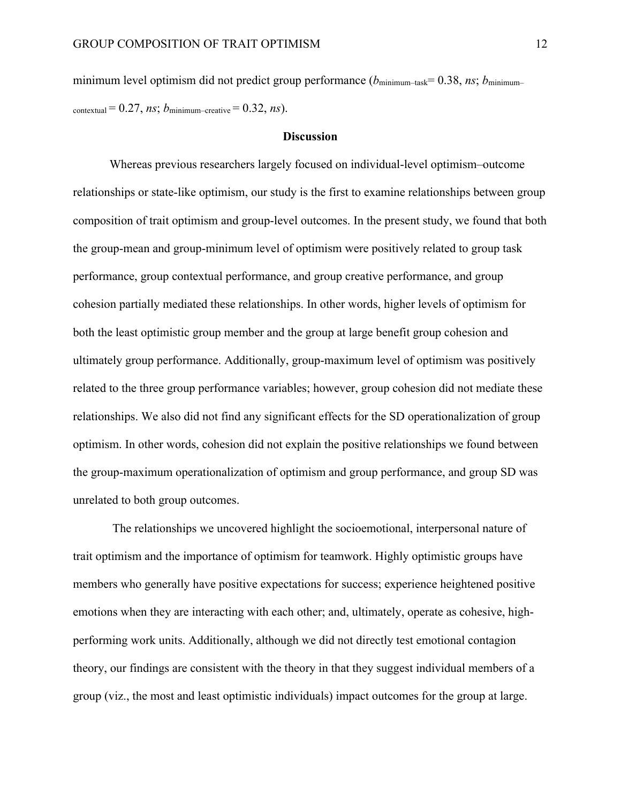minimum level optimism did not predict group performance ( $b_{\text{minimum–task}}= 0.38$ , *ns*;  $b_{\text{minimum–}}$ contextual =  $0.27$ , *ns*;  $b_{\text{minimum-creative}} = 0.32$ , *ns*).

#### **Discussion**

Whereas previous researchers largely focused on individual-level optimism–outcome relationships or state-like optimism, our study is the first to examine relationships between group composition of trait optimism and group-level outcomes. In the present study, we found that both the group-mean and group-minimum level of optimism were positively related to group task performance, group contextual performance, and group creative performance, and group cohesion partially mediated these relationships. In other words, higher levels of optimism for both the least optimistic group member and the group at large benefit group cohesion and ultimately group performance. Additionally, group-maximum level of optimism was positively related to the three group performance variables; however, group cohesion did not mediate these relationships. We also did not find any significant effects for the SD operationalization of group optimism. In other words, cohesion did not explain the positive relationships we found between the group-maximum operationalization of optimism and group performance, and group SD was unrelated to both group outcomes.

The relationships we uncovered highlight the socioemotional, interpersonal nature of trait optimism and the importance of optimism for teamwork. Highly optimistic groups have members who generally have positive expectations for success; experience heightened positive emotions when they are interacting with each other; and, ultimately, operate as cohesive, highperforming work units. Additionally, although we did not directly test emotional contagion theory, our findings are consistent with the theory in that they suggest individual members of a group (viz., the most and least optimistic individuals) impact outcomes for the group at large.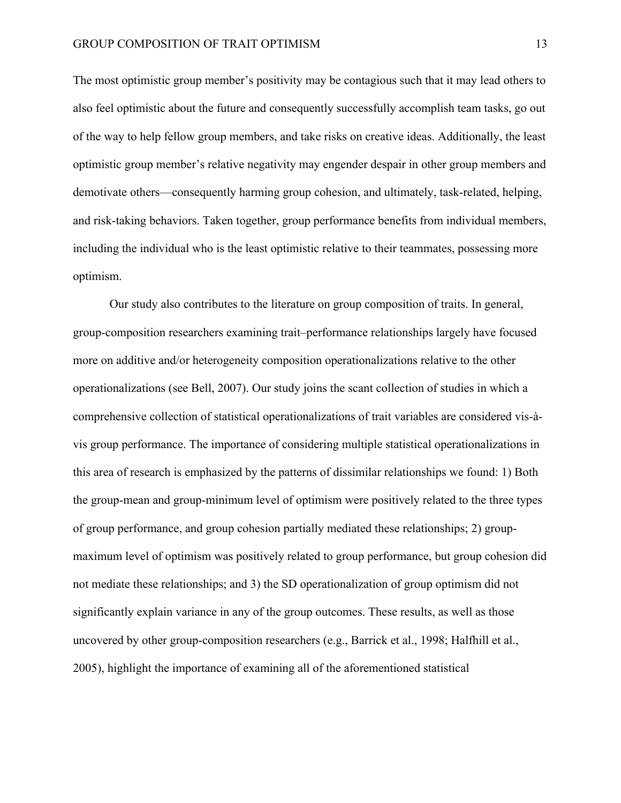The most optimistic group member's positivity may be contagious such that it may lead others to also feel optimistic about the future and consequently successfully accomplish team tasks, go out of the way to help fellow group members, and take risks on creative ideas. Additionally, the least optimistic group member's relative negativity may engender despair in other group members and demotivate others—consequently harming group cohesion, and ultimately, task-related, helping, and risk-taking behaviors. Taken together, group performance benefits from individual members, including the individual who is the least optimistic relative to their teammates, possessing more optimism.

Our study also contributes to the literature on group composition of traits. In general, group-composition researchers examining trait–performance relationships largely have focused more on additive and/or heterogeneity composition operationalizations relative to the other operationalizations (see Bell, 2007). Our study joins the scant collection of studies in which a comprehensive collection of statistical operationalizations of trait variables are considered vis-àvis group performance. The importance of considering multiple statistical operationalizations in this area of research is emphasized by the patterns of dissimilar relationships we found: 1) Both the group-mean and group-minimum level of optimism were positively related to the three types of group performance, and group cohesion partially mediated these relationships; 2) groupmaximum level of optimism was positively related to group performance, but group cohesion did not mediate these relationships; and 3) the SD operationalization of group optimism did not significantly explain variance in any of the group outcomes. These results, as well as those uncovered by other group-composition researchers (e.g., Barrick et al., 1998; Halfhill et al., 2005), highlight the importance of examining all of the aforementioned statistical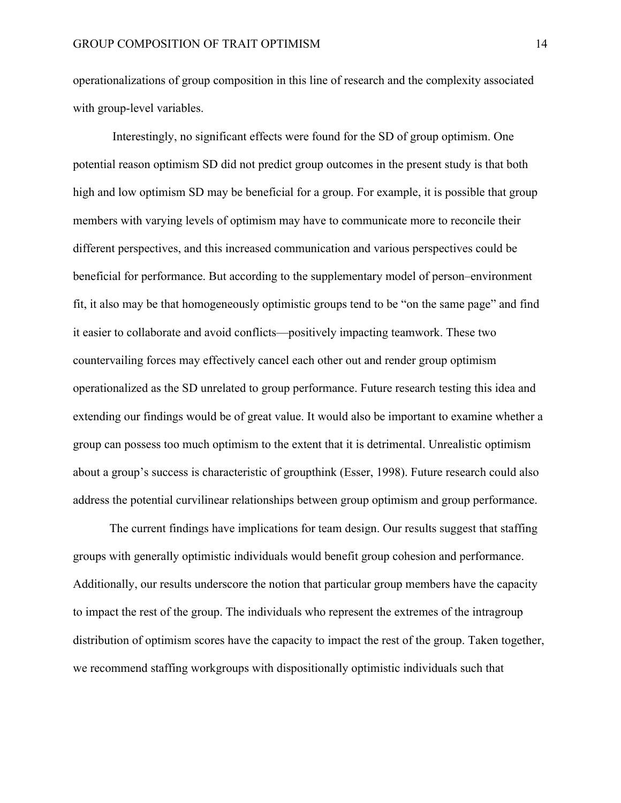operationalizations of group composition in this line of research and the complexity associated with group-level variables.

Interestingly, no significant effects were found for the SD of group optimism. One potential reason optimism SD did not predict group outcomes in the present study is that both high and low optimism SD may be beneficial for a group. For example, it is possible that group members with varying levels of optimism may have to communicate more to reconcile their different perspectives, and this increased communication and various perspectives could be beneficial for performance. But according to the supplementary model of person–environment fit, it also may be that homogeneously optimistic groups tend to be "on the same page" and find it easier to collaborate and avoid conflicts—positively impacting teamwork. These two countervailing forces may effectively cancel each other out and render group optimism operationalized as the SD unrelated to group performance. Future research testing this idea and extending our findings would be of great value. It would also be important to examine whether a group can possess too much optimism to the extent that it is detrimental. Unrealistic optimism about a group's success is characteristic of groupthink (Esser, 1998). Future research could also address the potential curvilinear relationships between group optimism and group performance.

The current findings have implications for team design. Our results suggest that staffing groups with generally optimistic individuals would benefit group cohesion and performance. Additionally, our results underscore the notion that particular group members have the capacity to impact the rest of the group. The individuals who represent the extremes of the intragroup distribution of optimism scores have the capacity to impact the rest of the group. Taken together, we recommend staffing workgroups with dispositionally optimistic individuals such that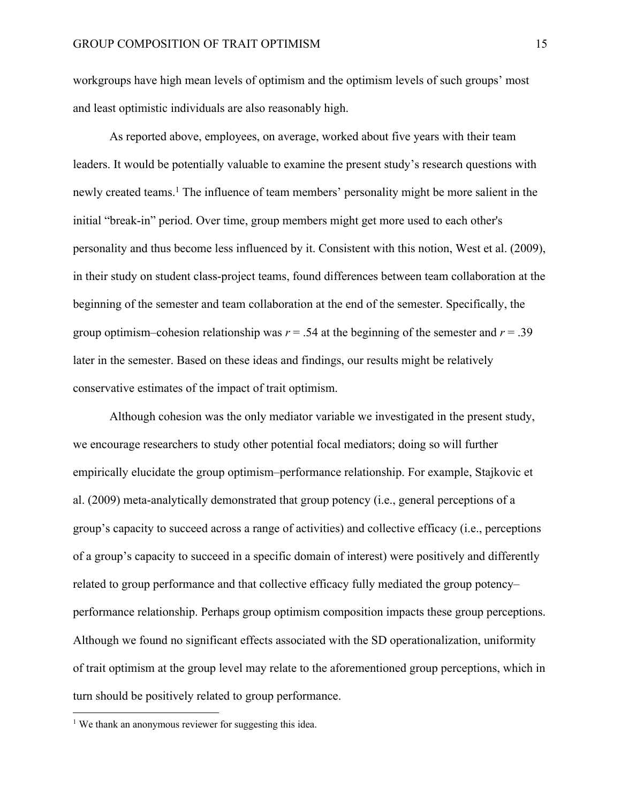workgroups have high mean levels of optimism and the optimism levels of such groups' most and least optimistic individuals are also reasonably high.

As reported above, employees, on average, worked about five years with their team leaders. It would be potentially valuable to examine the present study's research questions with newly created teams. <sup>1</sup> The influence of team members' personality might be more salient in the initial "break-in" period. Over time, group members might get more used to each other's personality and thus become less influenced by it. Consistent with this notion, West et al. (2009), in their study on student class-project teams, found differences between team collaboration at the beginning of the semester and team collaboration at the end of the semester. Specifically, the group optimism–cohesion relationship was  $r = .54$  at the beginning of the semester and  $r = .39$ later in the semester. Based on these ideas and findings, our results might be relatively conservative estimates of the impact of trait optimism.

Although cohesion was the only mediator variable we investigated in the present study, we encourage researchers to study other potential focal mediators; doing so will further empirically elucidate the group optimism–performance relationship. For example, Stajkovic et al. (2009) meta-analytically demonstrated that group potency (i.e., general perceptions of a group's capacity to succeed across a range of activities) and collective efficacy (i.e., perceptions of a group's capacity to succeed in a specific domain of interest) were positively and differently related to group performance and that collective efficacy fully mediated the group potency– performance relationship. Perhaps group optimism composition impacts these group perceptions. Although we found no significant effects associated with the SD operationalization, uniformity of trait optimism at the group level may relate to the aforementioned group perceptions, which in turn should be positively related to group performance.

<sup>&</sup>lt;sup>1</sup> We thank an anonymous reviewer for suggesting this idea.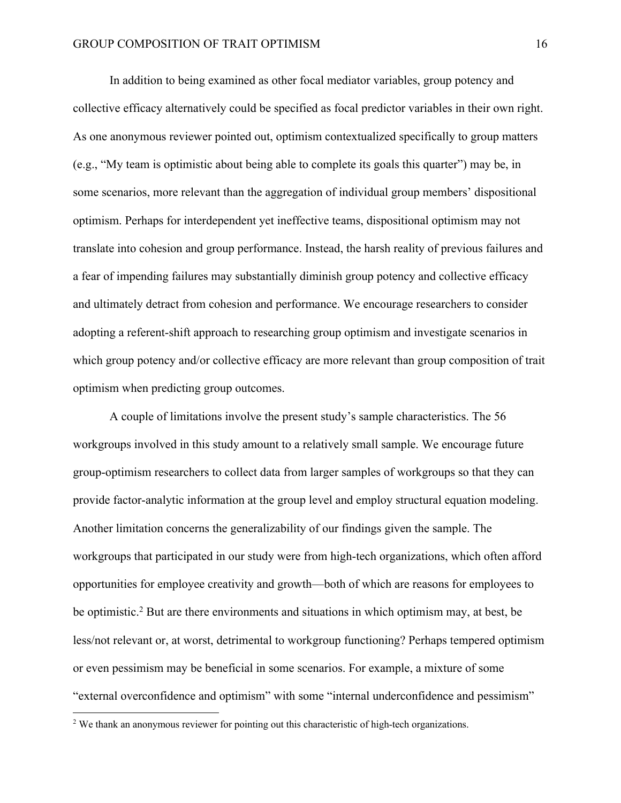In addition to being examined as other focal mediator variables, group potency and collective efficacy alternatively could be specified as focal predictor variables in their own right. As one anonymous reviewer pointed out, optimism contextualized specifically to group matters (e.g., "My team is optimistic about being able to complete its goals this quarter") may be, in some scenarios, more relevant than the aggregation of individual group members' dispositional optimism. Perhaps for interdependent yet ineffective teams, dispositional optimism may not translate into cohesion and group performance. Instead, the harsh reality of previous failures and a fear of impending failures may substantially diminish group potency and collective efficacy and ultimately detract from cohesion and performance. We encourage researchers to consider adopting a referent-shift approach to researching group optimism and investigate scenarios in which group potency and/or collective efficacy are more relevant than group composition of trait optimism when predicting group outcomes.

A couple of limitations involve the present study's sample characteristics. The 56 workgroups involved in this study amount to a relatively small sample. We encourage future group-optimism researchers to collect data from larger samples of workgroups so that they can provide factor-analytic information at the group level and employ structural equation modeling. Another limitation concerns the generalizability of our findings given the sample. The workgroups that participated in our study were from high-tech organizations, which often afford opportunities for employee creativity and growth—both of which are reasons for employees to be optimistic.<sup>2</sup> But are there environments and situations in which optimism may, at best, be less/not relevant or, at worst, detrimental to workgroup functioning? Perhaps tempered optimism or even pessimism may be beneficial in some scenarios. For example, a mixture of some "external overconfidence and optimism" with some "internal underconfidence and pessimism"

<sup>&</sup>lt;sup>2</sup> We thank an anonymous reviewer for pointing out this characteristic of high-tech organizations.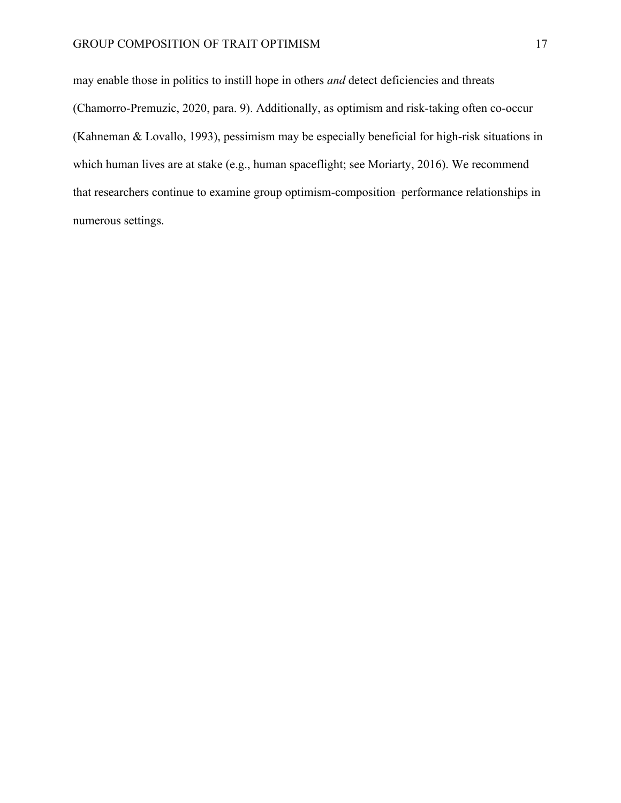may enable those in politics to instill hope in others *and* detect deficiencies and threats (Chamorro-Premuzic, 2020, para. 9). Additionally, as optimism and risk-taking often co-occur (Kahneman & Lovallo, 1993), pessimism may be especially beneficial for high-risk situations in which human lives are at stake (e.g., human spaceflight; see Moriarty, 2016). We recommend that researchers continue to examine group optimism-composition–performance relationships in numerous settings.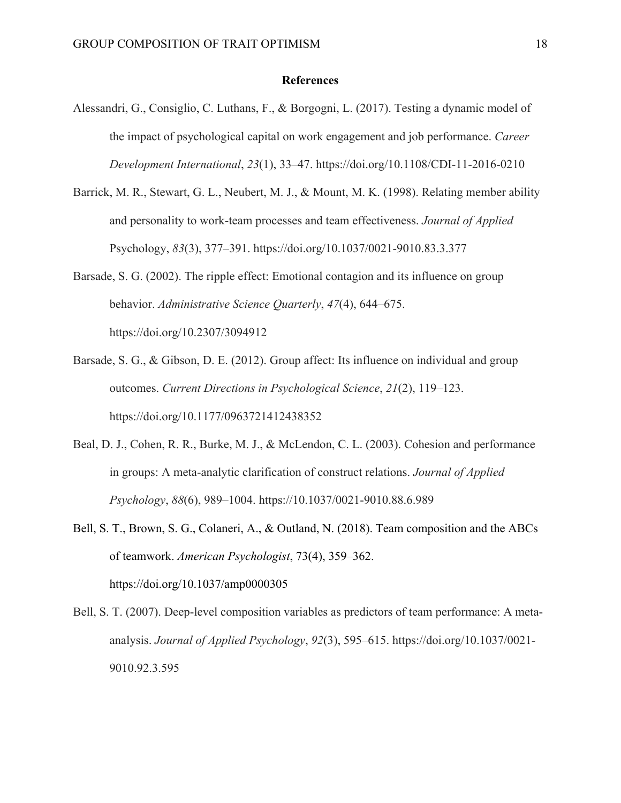#### **References**

- Alessandri, G., Consiglio, C. Luthans, F., & Borgogni, L. (2017). Testing a dynamic model of the impact of psychological capital on work engagement and job performance. *Career Development International*, *23*(1), 33–47. https://doi.org/10.1108/CDI-11-2016-0210
- Barrick, M. R., Stewart, G. L., Neubert, M. J., & Mount, M. K. (1998). Relating member ability and personality to work-team processes and team effectiveness. *Journal of Applied*  Psychology, *83*(3), 377–391. https://doi.org/10.1037/0021-9010.83.3.377
- Barsade, S. G. (2002). The ripple effect: Emotional contagion and its influence on group behavior. *Administrative Science Quarterly*, *47*(4), 644–675. https://doi.org/10.2307/3094912
- Barsade, S. G., & Gibson, D. E. (2012). Group affect: Its influence on individual and group outcomes. *Current Directions in Psychological Science*, *21*(2), 119–123. https://doi.org/10.1177/0963721412438352
- Beal, D. J., Cohen, R. R., Burke, M. J., & McLendon, C. L. (2003). Cohesion and performance in groups: A meta-analytic clarification of construct relations. *Journal of Applied Psychology*, *88*(6), 989–1004. https://10.1037/0021-9010.88.6.989
- Bell, S. T., Brown, S. G., Colaneri, A., & Outland, N. (2018). Team composition and the ABCs of teamwork. *American Psychologist*, 73(4), 359–362. https://doi.org/10.1037/amp0000305
- Bell, S. T. (2007). Deep-level composition variables as predictors of team performance: A metaanalysis. *Journal of Applied Psychology*, *92*(3), 595–615. https://doi.org/10.1037/0021- 9010.92.3.595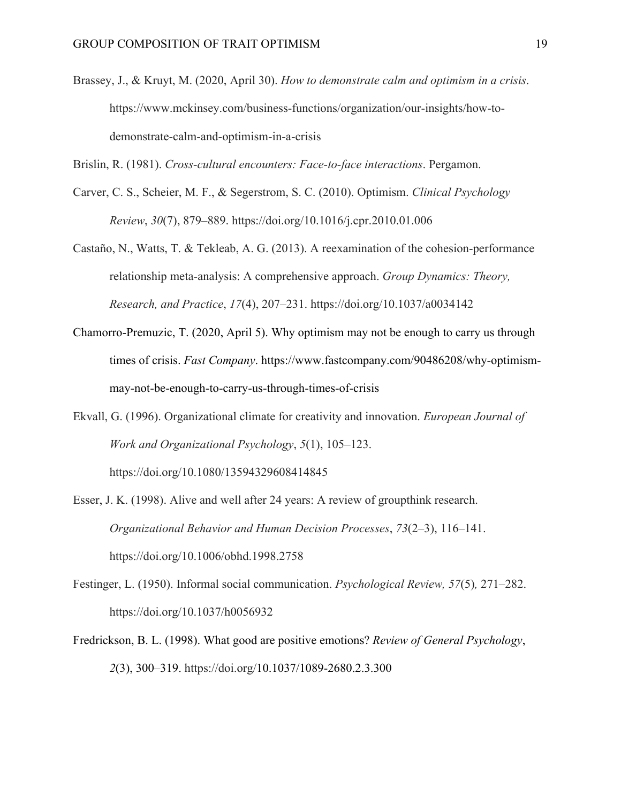Brassey, J., & Kruyt, M. (2020, April 30). *How to demonstrate calm and optimism in a crisis*. https://www.mckinsey.com/business-functions/organization/our-insights/how-todemonstrate-calm-and-optimism-in-a-crisis

Brislin, R. (1981). *Cross-cultural encounters: Face-to-face interactions*. Pergamon.

- Carver, C. S., Scheier, M. F., & Segerstrom, S. C. (2010). Optimism. *Clinical Psychology Review*, *30*(7), 879–889. https://doi.org/10.1016/j.cpr.2010.01.006
- Castaño, N., Watts, T. & Tekleab, A. G. (2013). A reexamination of the cohesion-performance relationship meta-analysis: A comprehensive approach. *Group Dynamics: Theory, Research, and Practice*, *17*(4), 207–231. https://doi.org/10.1037/a0034142
- Chamorro-Premuzic, T. (2020, April 5). Why optimism may not be enough to carry us through times of crisis. *Fast Company*. https://www.fastcompany.com/90486208/why-optimismmay-not-be-enough-to-carry-us-through-times-of-crisis
- Ekvall, G. (1996). Organizational climate for creativity and innovation. *European Journal of Work and Organizational Psychology*, *5*(1), 105–123.

https://doi.org/10.1080/13594329608414845

- Esser, J. K. (1998). Alive and well after 24 years: A review of groupthink research. *Organizational Behavior and Human Decision Processes*, *73*(2–3), 116–141. https://doi.org/10.1006/obhd.1998.2758
- Festinger, L. (1950). Informal social communication. *Psychological Review, 57*(5)*,* 271–282. https://doi.org/10.1037/h0056932
- Fredrickson, B. L. (1998). What good are positive emotions? *Review of General Psychology*, *2*(3), 300–319. https://doi.org/10.1037/1089-2680.2.3.300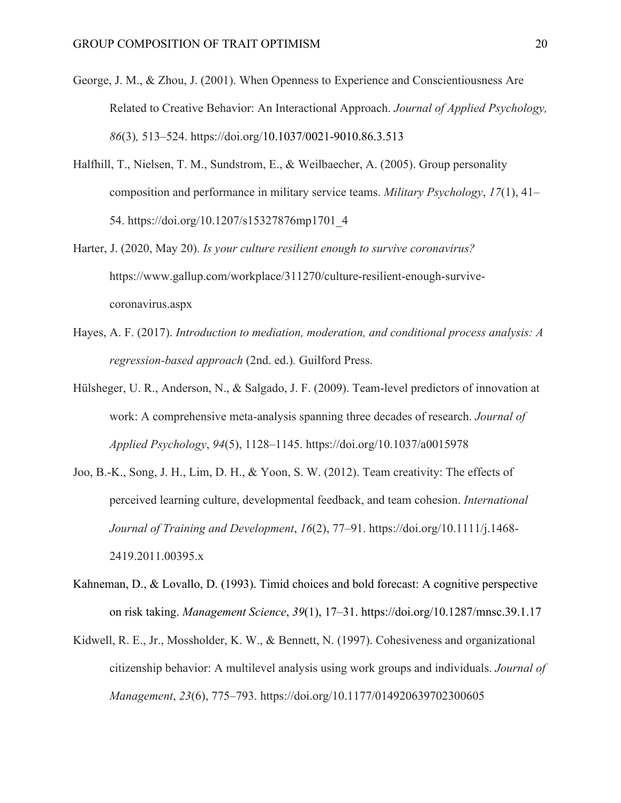- George, J. M., & Zhou, J. (2001). When Openness to Experience and Conscientiousness Are Related to Creative Behavior: An Interactional Approach. *Journal of Applied Psychology, 86*(3)*,* 513–524. https://doi.org/10.1037/0021-9010.86.3.513
- Halfhill, T., Nielsen, T. M., Sundstrom, E., & Weilbaecher, A. (2005). Group personality composition and performance in military service teams. *Military Psychology*, *17*(1), 41– 54. https://doi.org/10.1207/s15327876mp1701\_4
- Harter, J. (2020, May 20). *Is your culture resilient enough to survive coronavirus?*  https://www.gallup.com/workplace/311270/culture-resilient-enough-survivecoronavirus.aspx
- Hayes, A. F. (2017). *Introduction to mediation, moderation, and conditional process analysis: A regression-based approach* (2nd. ed.)*.* Guilford Press.
- Hülsheger, U. R., Anderson, N., & Salgado, J. F. (2009). Team-level predictors of innovation at work: A comprehensive meta-analysis spanning three decades of research. *Journal of Applied Psychology*, *94*(5), 1128–1145. https://doi.org/10.1037/a0015978
- Joo, B.-K., Song, J. H., Lim, D. H., & Yoon, S. W. (2012). Team creativity: The effects of perceived learning culture, developmental feedback, and team cohesion. *International Journal of Training and Development*, *16*(2), 77–91. https://doi.org/10.1111/j.1468- 2419.2011.00395.x
- Kahneman, D., & Lovallo, D. (1993). Timid choices and bold forecast: A cognitive perspective on risk taking. *Management Science*, *39*(1), 17–31. https://doi.org/10.1287/mnsc.39.1.17
- Kidwell, R. E., Jr., Mossholder, K. W., & Bennett, N. (1997). Cohesiveness and organizational citizenship behavior: A multilevel analysis using work groups and individuals. *Journal of Management*, *23*(6), 775–793. https://doi.org/10.1177/014920639702300605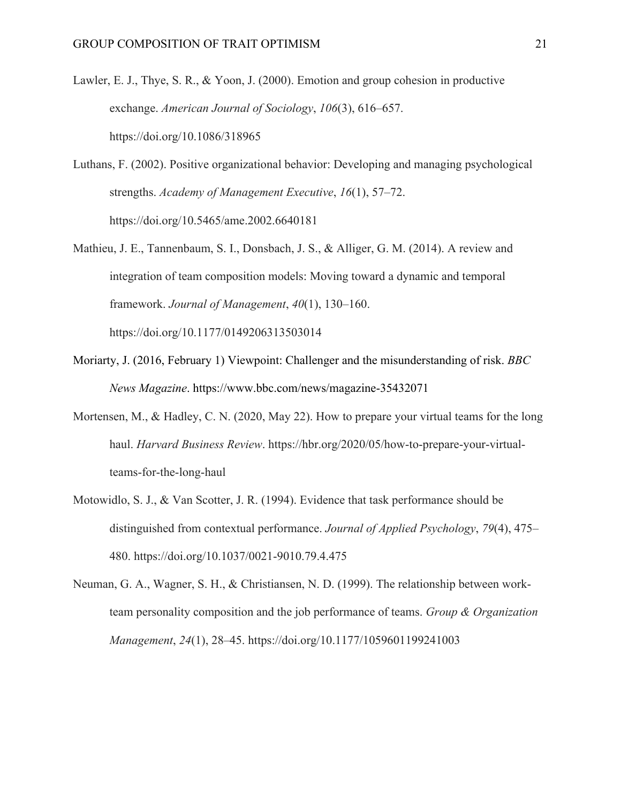- Lawler, E. J., Thye, S. R., & Yoon, J. (2000). Emotion and group cohesion in productive exchange. *American Journal of Sociology*, *106*(3), 616–657. https://doi.org/10.1086/318965
- Luthans, F. (2002). Positive organizational behavior: Developing and managing psychological strengths. *Academy of Management Executive*, *16*(1), 57–72. https://doi.org/10.5465/ame.2002.6640181
- Mathieu, J. E., Tannenbaum, S. I., Donsbach, J. S., & Alliger, G. M. (2014). A review and integration of team composition models: Moving toward a dynamic and temporal framework. *Journal of Management*, *40*(1), 130–160. https://doi.org/10.1177/0149206313503014
	-
- Moriarty, J. (2016, February 1) Viewpoint: Challenger and the misunderstanding of risk. *BBC News Magazine*. https://www.bbc.com/news/magazine-35432071
- Mortensen, M., & Hadley, C. N. (2020, May 22). How to prepare your virtual teams for the long haul. *Harvard Business Review*. https://hbr.org/2020/05/how-to-prepare-your-virtualteams-for-the-long-haul
- Motowidlo, S. J., & Van Scotter, J. R. (1994). Evidence that task performance should be distinguished from contextual performance. *Journal of Applied Psychology*, *79*(4), 475– 480. https://doi.org/10.1037/0021-9010.79.4.475
- Neuman, G. A., Wagner, S. H., & Christiansen, N. D. (1999). The relationship between workteam personality composition and the job performance of teams. *Group & Organization Management*, *24*(1), 28–45. https://doi.org/10.1177/1059601199241003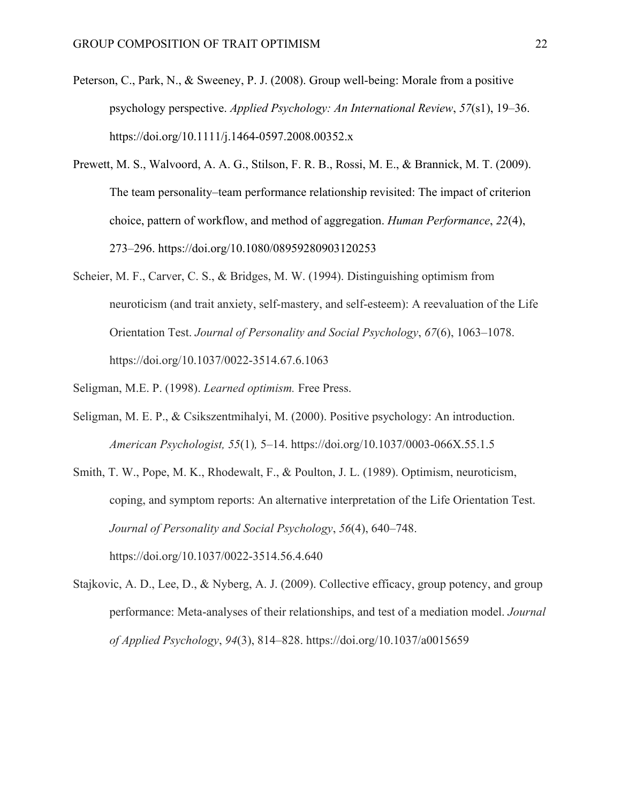- Peterson, C., Park, N., & Sweeney, P. J. (2008). Group well-being: Morale from a positive psychology perspective. *Applied Psychology: An International Review*, *57*(s1), 19–36. https://doi.org/10.1111/j.1464-0597.2008.00352.x
- Prewett, M. S., Walvoord, A. A. G., Stilson, F. R. B., Rossi, M. E., & Brannick, M. T. (2009). The team personality–team performance relationship revisited: The impact of criterion choice, pattern of workflow, and method of aggregation. *Human Performance*, *22*(4), 273–296. https://doi.org/10.1080/08959280903120253
- Scheier, M. F., Carver, C. S., & Bridges, M. W. (1994). Distinguishing optimism from neuroticism (and trait anxiety, self-mastery, and self-esteem): A reevaluation of the Life Orientation Test. *Journal of Personality and Social Psychology*, *67*(6), 1063–1078. https://doi.org/10.1037/0022-3514.67.6.1063
- Seligman, M.E. P. (1998). *Learned optimism.* Free Press.
- Seligman, M. E. P., & Csikszentmihalyi, M. (2000). Positive psychology: An introduction. *American Psychologist, 55*(1)*,* 5–14. https://doi.org/10.1037/0003-066X.55.1.5
- Smith, T. W., Pope, M. K., Rhodewalt, F., & Poulton, J. L. (1989). Optimism, neuroticism, coping, and symptom reports: An alternative interpretation of the Life Orientation Test. *Journal of Personality and Social Psychology*, *56*(4), 640–748. https://doi.org/10.1037/0022-3514.56.4.640
- Stajkovic, A. D., Lee, D., & Nyberg, A. J. (2009). Collective efficacy, group potency, and group performance: Meta-analyses of their relationships, and test of a mediation model. *Journal of Applied Psychology*, *94*(3), 814–828. https://doi.org/10.1037/a0015659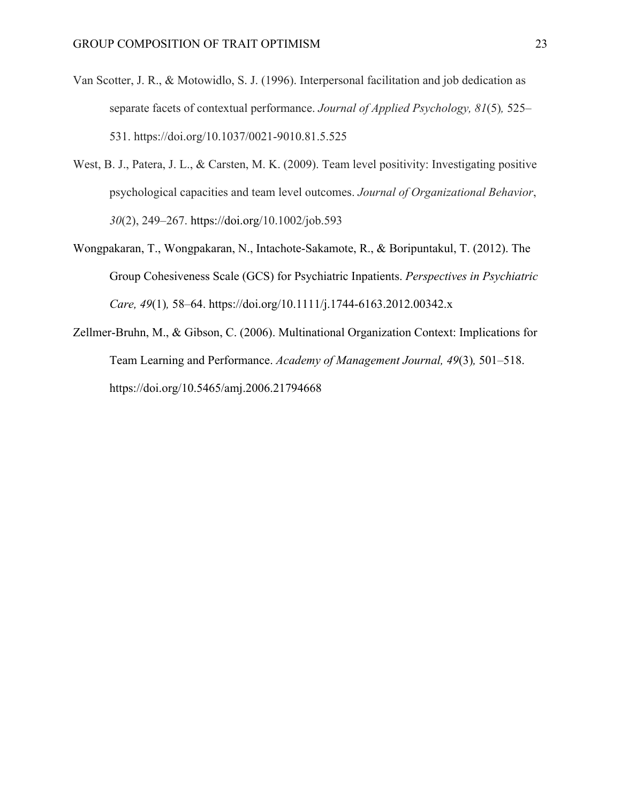- Van Scotter, J. R., & Motowidlo, S. J. (1996). Interpersonal facilitation and job dedication as separate facets of contextual performance. *Journal of Applied Psychology, 81*(5)*,* 525– 531. https://doi.org/10.1037/0021-9010.81.5.525
- West, B. J., Patera, J. L., & Carsten, M. K. (2009). Team level positivity: Investigating positive psychological capacities and team level outcomes. *Journal of Organizational Behavior*, *30*(2), 249–267. https://doi.org/10.1002/job.593
- Wongpakaran, T., Wongpakaran, N., Intachote-Sakamote, R., & Boripuntakul, T. (2012). The Group Cohesiveness Scale (GCS) for Psychiatric Inpatients. *Perspectives in Psychiatric Care, 49*(1)*,* 58–64. https://doi.org/10.1111/j.1744-6163.2012.00342.x
- Zellmer-Bruhn, M., & Gibson, C. (2006). Multinational Organization Context: Implications for Team Learning and Performance. *Academy of Management Journal, 49*(3)*,* 501–518. https://doi.org/10.5465/amj.2006.21794668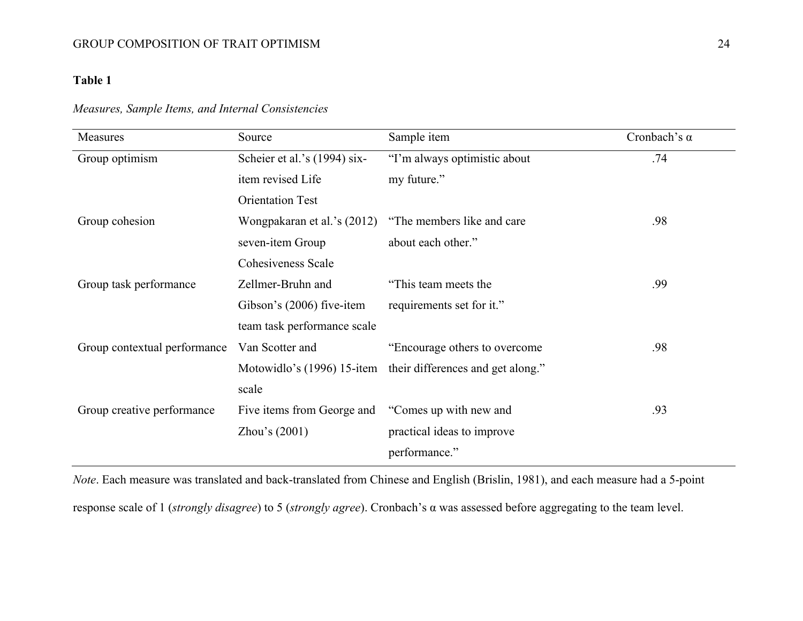## **Table 1**

## *Measures, Sample Items, and Internal Consistencies*

| Measures                     | Source                       | Sample item                       | Cronbach's $\alpha$ |
|------------------------------|------------------------------|-----------------------------------|---------------------|
| Group optimism               | Scheier et al.'s (1994) six- | "I'm always optimistic about      | .74                 |
|                              | item revised Life            | my future."                       |                     |
|                              | <b>Orientation Test</b>      |                                   |                     |
| Group cohesion               | Wongpakaran et al.'s (2012)  | "The members like and care"       | .98                 |
|                              | seven-item Group             | about each other."                |                     |
|                              | Cohesiveness Scale           |                                   |                     |
| Group task performance       | Zellmer-Bruhn and            | "This team meets the              | .99                 |
|                              | Gibson's (2006) five-item    | requirements set for it."         |                     |
|                              | team task performance scale  |                                   |                     |
| Group contextual performance | Van Scotter and              | "Encourage others to overcome"    | .98                 |
|                              | Motowidlo's (1996) 15-item   | their differences and get along." |                     |
|                              | scale                        |                                   |                     |
| Group creative performance   | Five items from George and   | "Comes up with new and            | .93                 |
|                              | Zhou's $(2001)$              | practical ideas to improve        |                     |
|                              |                              | performance."                     |                     |

*Note*. Each measure was translated and back-translated from Chinese and English (Brislin, 1981), and each measure had a 5-point

response scale of 1 (*strongly disagree*) to 5 (*strongly agree*). Cronbach's α was assessed before aggregating to the team level.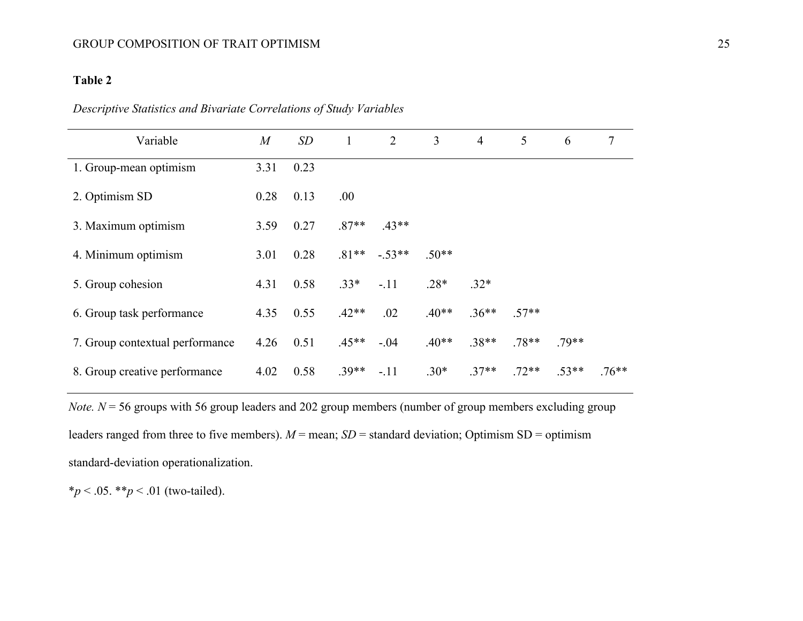## **Table 2**

| Variable                        | M    | SD   | $\mathbf{1}$ | 2        | $\overline{3}$ | $\overline{4}$ | 5       | 6       | 7        |
|---------------------------------|------|------|--------------|----------|----------------|----------------|---------|---------|----------|
| 1. Group-mean optimism          | 3.31 | 0.23 |              |          |                |                |         |         |          |
| 2. Optimism SD                  | 0.28 | 0.13 | .00.         |          |                |                |         |         |          |
| 3. Maximum optimism             | 3.59 | 0.27 | $.87**$      | $.43**$  |                |                |         |         |          |
| 4. Minimum optimism             | 3.01 | 0.28 | $.81**$      | $-.53**$ | $.50**$        |                |         |         |          |
| 5. Group cohesion               | 4.31 | 0.58 | $.33*$       | $-.11$   | $.28*$         | $.32*$         |         |         |          |
| 6. Group task performance       | 4.35 | 0.55 | $.42**$      | .02      | $.40**$        | $.36**$        | $.57**$ |         |          |
| 7. Group contextual performance | 4.26 | 0.51 | $.45**$      | $-.04$   | $.40**$        | $.38**$        | $.78**$ | $.79**$ |          |
| 8. Group creative performance   | 4.02 | 0.58 | $.39**$      | $-.11$   | $.30*$         | $.37**$        | $.72**$ | $.53**$ | $.76***$ |

| Descriptive Statistics and Bivariate Correlations of Study Variables |  |  |  |  |  |
|----------------------------------------------------------------------|--|--|--|--|--|
|                                                                      |  |  |  |  |  |

*Note.*  $N = 56$  groups with 56 group leaders and 202 group members (number of group members excluding group leaders ranged from three to five members).  $M =$  mean;  $SD =$  standard deviation; Optimism  $SD =$  optimism standard-deviation operationalization.

\**p* < .05. \*\**p* < .01 (two-tailed).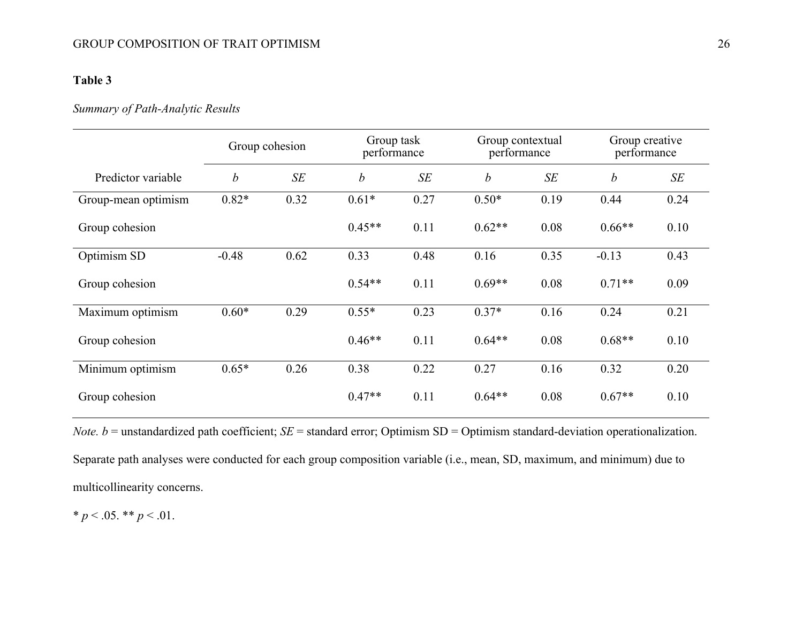## GROUP COMPOSITION OF TRAIT OPTIMISM 26

## **Table 3**

## *Summary of Path-Analytic Results*

|                     |                  | Group task<br>Group cohesion<br>performance |                  |      | Group contextual<br>performance |      | Group creative<br>performance |      |
|---------------------|------------------|---------------------------------------------|------------------|------|---------------------------------|------|-------------------------------|------|
| Predictor variable  | $\boldsymbol{b}$ | SE                                          | $\boldsymbol{b}$ | SE   | $\boldsymbol{b}$                | SE   | $\boldsymbol{b}$              | SE   |
| Group-mean optimism | $0.82*$          | 0.32                                        | $0.61*$          | 0.27 | $0.50*$                         | 0.19 | 0.44                          | 0.24 |
| Group cohesion      |                  |                                             | $0.45**$         | 0.11 | $0.62**$                        | 0.08 | $0.66**$                      | 0.10 |
| Optimism SD         | $-0.48$          | 0.62                                        | 0.33             | 0.48 | 0.16                            | 0.35 | $-0.13$                       | 0.43 |
| Group cohesion      |                  |                                             | $0.54**$         | 0.11 | $0.69**$                        | 0.08 | $0.71**$                      | 0.09 |
| Maximum optimism    | $0.60*$          | 0.29                                        | $0.55*$          | 0.23 | $0.37*$                         | 0.16 | 0.24                          | 0.21 |
| Group cohesion      |                  |                                             | $0.46**$         | 0.11 | $0.64**$                        | 0.08 | $0.68**$                      | 0.10 |
| Minimum optimism    | $0.65*$          | 0.26                                        | 0.38             | 0.22 | 0.27                            | 0.16 | 0.32                          | 0.20 |
| Group cohesion      |                  |                                             | $0.47**$         | 0.11 | $0.64**$                        | 0.08 | $0.67**$                      | 0.10 |

*Note. b* = unstandardized path coefficient; *SE* = standard error; Optimism SD = Optimism standard-deviation operationalization. Separate path analyses were conducted for each group composition variable (i.e., mean, SD, maximum, and minimum) due to multicollinearity concerns.

\*  $p < .05$ . \*\*  $p < .01$ .